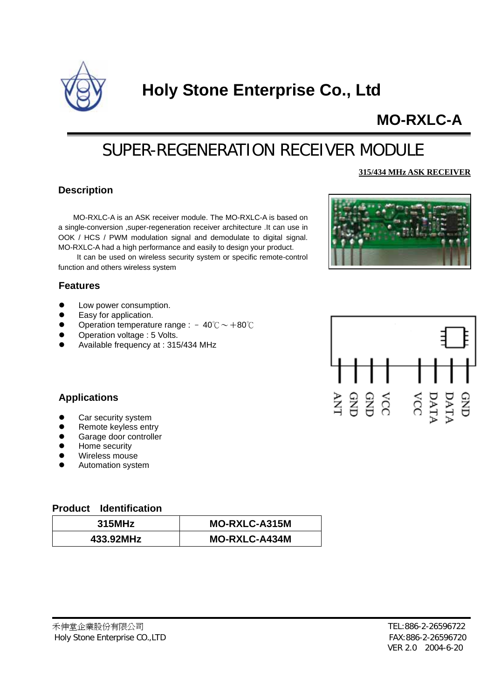

# **Holy Stone Enterprise Co., Ltd**

## **MO-RXLC-A**

## SUPER-REGENERATION RECEIVER MODULE

#### **315/434 MHz ASK RECEIVER**

#### **Description**

MO-RXLC-A is an ASK receiver module. The MO-RXLC-A is based on a single-conversion ,super-regeneration receiver architecture .It can use in OOK / HCS / PWM modulation signal and demodulate to digital signal. MO-RXLC-A had a high performance and easily to design your product.

It can be used on wireless security system or specific remote-control function and others wireless system

#### **Features**

- Low power consumption.
- Easy for application.
- Operation temperature range :  $-40^{\circ}\text{C} \sim +80^{\circ}\text{C}$
- Operation voltage : 5 Volts.
- Available frequency at : 315/434 MHz





#### **Applications**

- Car security system
- Remote keyless entry
- Garage door controller
- Home security
- Wireless mouse
- Automation system

#### **roduct Identification P**

| 315MHz    | <b>MO-RXLC-A315M</b> |
|-----------|----------------------|
| 433.92MHz | <b>MO-RXLC-A434M</b> |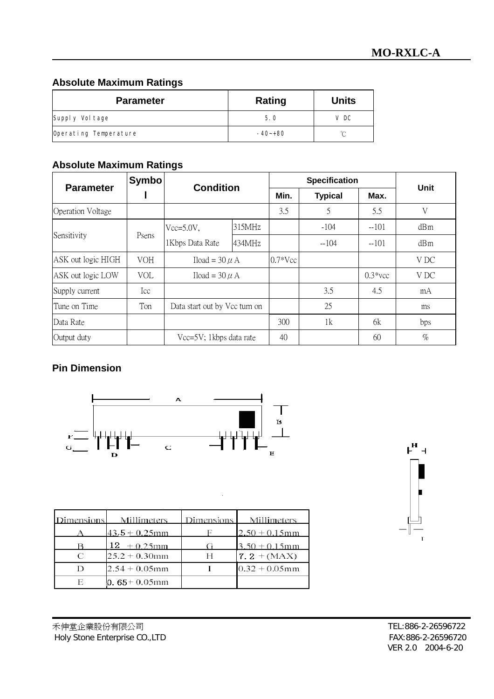## **Absolute Maximum Ratings**

| <b>Parameter</b>      | Rating    | <b>Units</b> |
|-----------------------|-----------|--------------|
| Supply Voltage        | 5.0       | V DC         |
| Operating Temperature | $-40-+80$ | ∽            |

## **Absolute Maximum Ratings**

| <b>Parameter</b>         | <b>Symbo</b> | <b>Condition</b>              |        | <b>Specification</b> |                |            | <b>Unit</b> |
|--------------------------|--------------|-------------------------------|--------|----------------------|----------------|------------|-------------|
|                          |              |                               |        | Min.                 | <b>Typical</b> | Max.       |             |
| <b>Operation Voltage</b> |              |                               |        | 3.5                  | 5              | 5.5        | V           |
| Sensitivity              | Psens        | $Vcc=5.0V$ ,                  | 315MHz |                      | $-104$         | $-101$     | dBm         |
|                          |              | 1Kbps Data Rate               | 434MHz |                      | $-104$         | $-101$     | dBm         |
| ASK out logic HIGH       | <b>VOH</b>   | Iload = $30 \mu$ A            |        | $0.7*Vec$            |                |            | V DC        |
| ASK out logic LOW        | <b>VOL</b>   | Iload = $30 \mu$ A            |        |                      |                | $0.3*$ vcc | V DC        |
| Supply current           | Icc          |                               |        |                      | 3.5            | 4.5        | mA          |
| Tune on Time             | Ton          | Data start out by Vcc turn on |        |                      | 25             |            | ms          |
| Data Rate                |              |                               |        | 300                  | 1k             | 6k         | bps         |
| Output duty              |              | Vcc=5V; 1kbps data rate       |        | 40                   |                | 60         | $\%$        |

## **Pin Dimension**







禾伸堂企業股份有限公司 TEL:886-2-26596722 Holy Stone Enterprise CO.,LTD **FAX:886-2-26596720** 

VER 2.0 2004-6-20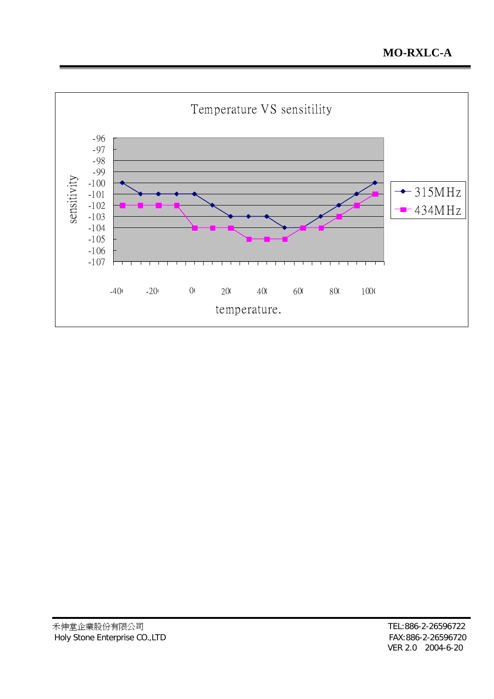